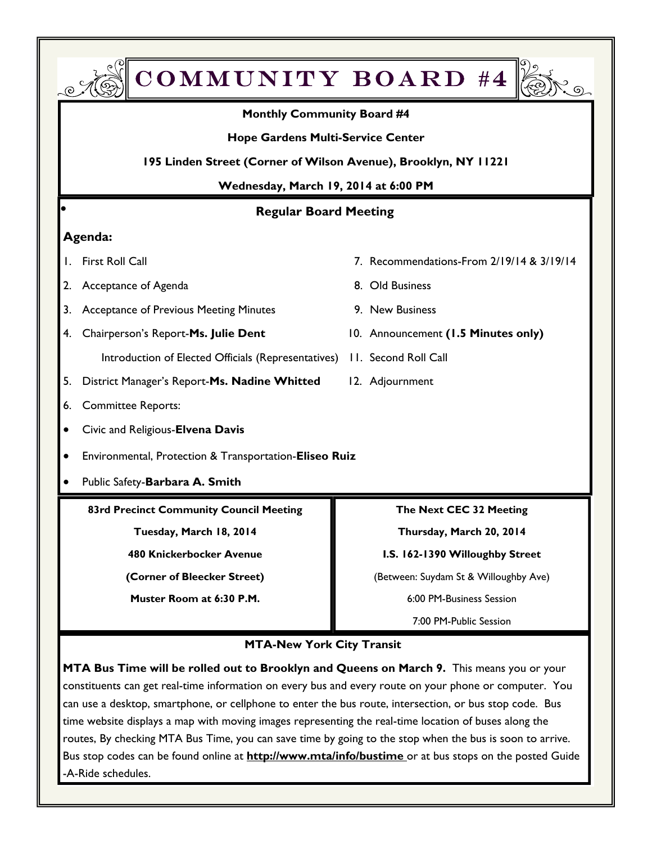COMMUNITY BOARD #4

#### **Monthly Community Board #4**

**Hope Gardens Multi-Service Center** 

**195 Linden Street (Corner of Wilson Avenue), Brooklyn, NY 11221** 

**Wednesday, March 19, 2014 at 6:00 PM** 

#### **Regular Board Meeting**

#### **Agenda:**

- 
- 2. Acceptance of Agenda 8. Old Business
- 3. Acceptance of Previous Meeting Minutes 9. New Business
- 4. Chairperson's Report-**Ms. Julie Dent** 10. Announcement **(1.5 Minutes only)** Introduction of Elected Officials (Representatives) 11. Second Roll Call
- 5. District Manager's Report-**Ms. Nadine Whitted** 12. Adjournment
- 6. Committee Reports:
- Civic and Religious-**Elvena Davis**
- Environmental, Protection & Transportation-**Eliseo Ruiz**
- Public Safety-**Barbara A. Smith**

**83rd Precinct Community Council Meeting** 

**Tuesday, March 18, 2014** 

**480 Knickerbocker Avenue** 

**(Corner of Bleecker Street)** 

**Muster Room at 6:30 P.M.** 

- 1. First Roll Call 7. Recommendations-From 2/19/14 & 3/19/14
	-
	-
	-
	-
	-

**The Next CEC 32 Meeting** 

**Thursday, March 20, 2014** 

**I.S. 162-1390 Willoughby Street** 

(Between: Suydam St & Willoughby Ave)

6:00 PM-Business Session

7:00 PM-Public Session

#### **MTA-New York City Transit**

**MTA Bus Time will be rolled out to Brooklyn and Queens on March 9.** This means you or your constituents can get real-time information on every bus and every route on your phone or computer. You can use a desktop, smartphone, or cellphone to enter the bus route, intersection, or bus stop code. Bus time website displays a map with moving images representing the real-time location of buses along the routes, By checking MTA Bus Time, you can save time by going to the stop when the bus is soon to arrive. Bus stop codes can be found online at **http://www.mta/info/bustime** or at bus stops on the posted Guide -A-Ride schedules.

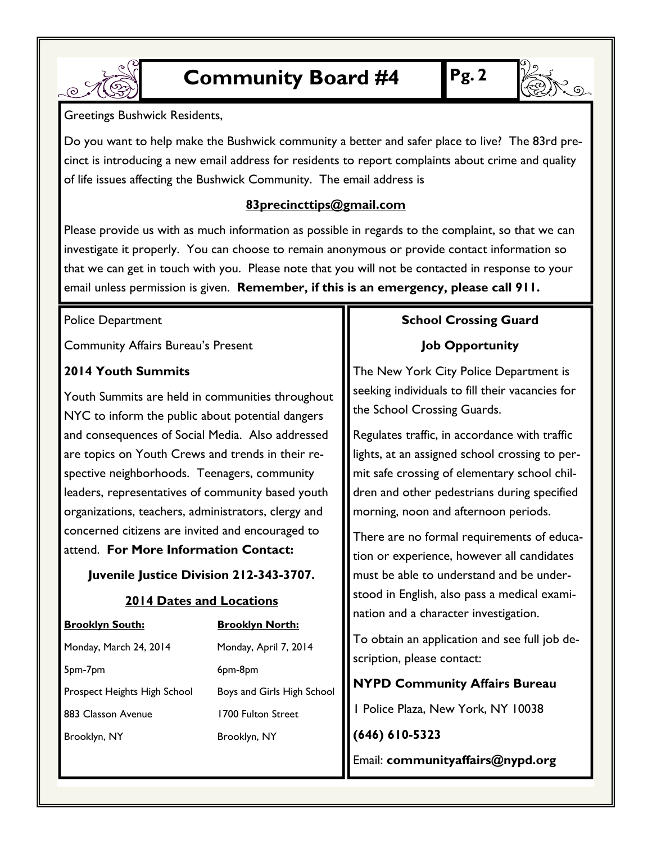



#### Greetings Bushwick Residents,

Do you want to help make the Bushwick community a better and safer place to live? The 83rd precinct is introducing a new email address for residents to report complaints about crime and quality of life issues affecting the Bushwick Community. The email address is

#### **83precincttips@gmail.com**

Please provide us with as much information as possible in regards to the complaint, so that we can investigate it properly. You can choose to remain anonymous or provide contact information so that we can get in touch with you. Please note that you will not be contacted in response to your email unless permission is given. **Remember, if this is an emergency, please call 911.**

#### Police Department

Community Affairs Bureau's Present

#### **2014 Youth Summits**

Youth Summits are held in communities throughout NYC to inform the public about potential dangers and consequences of Social Media. Also addressed are topics on Youth Crews and trends in their respective neighborhoods. Teenagers, community leaders, representatives of community based youth organizations, teachers, administrators, clergy and concerned citizens are invited and encouraged to attend. **For More Information Contact:** 

#### **Juvenile Justice Division 212-343-3707.**

#### **2014 Dates and Locations**

| <b>Brooklyn South:</b>       | <b>Brooklyn North:</b>     |
|------------------------------|----------------------------|
| Monday, March 24, 2014       | Monday, April 7, 2014      |
| 5pm-7pm                      | 6pm-8pm                    |
| Prospect Heights High School | Boys and Girls High School |
| 883 Classon Avenue           | 1700 Fulton Street         |
| Brooklyn, NY                 | Brooklyn, NY               |

# **School Crossing Guard**

#### **Job Opportunity**

The New York City Police Department is seeking individuals to fill their vacancies for the School Crossing Guards.

Regulates traffic, in accordance with traffic lights, at an assigned school crossing to permit safe crossing of elementary school children and other pedestrians during specified morning, noon and afternoon periods.

There are no formal requirements of education or experience, however all candidates must be able to understand and be understood in English, also pass a medical examination and a character investigation.

To obtain an application and see full job description, please contact:

### **NYPD Community Affairs Bureau**

1 Police Plaza, New York, NY 10038

**(646) 610-5323** 

Email: **communityaffairs@nypd.org**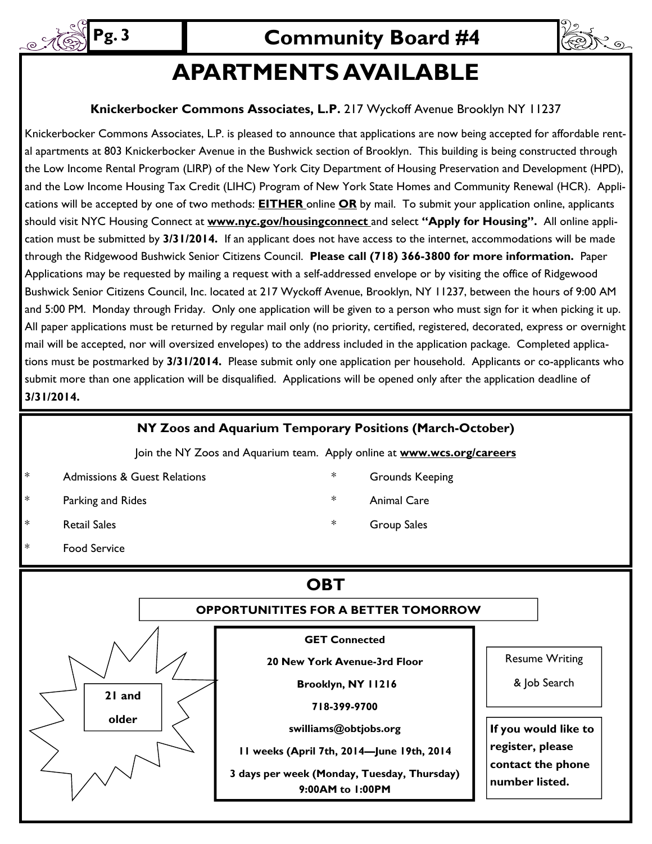

# **Pg. 3** Community Board #4

3).<br>2).



#### **Knickerbocker Commons Associates, L.P.** 217 Wyckoff Avenue Brooklyn NY 11237

Knickerbocker Commons Associates, L.P. is pleased to announce that applications are now being accepted for affordable rental apartments at 803 Knickerbocker Avenue in the Bushwick section of Brooklyn. This building is being constructed through the Low Income Rental Program (LIRP) of the New York City Department of Housing Preservation and Development (HPD), and the Low Income Housing Tax Credit (LIHC) Program of New York State Homes and Community Renewal (HCR). Applications will be accepted by one of two methods: **EITHER** online **OR** by mail. To submit your application online, applicants should visit NYC Housing Connect at **www.nyc.gov/housingconnect** and select **"Apply for Housing".** All online application must be submitted by **3/31/2014.** If an applicant does not have access to the internet, accommodations will be made through the Ridgewood Bushwick Senior Citizens Council. **Please call (718) 366-3800 for more information.** Paper Applications may be requested by mailing a request with a self-addressed envelope or by visiting the office of Ridgewood Bushwick Senior Citizens Council, Inc. located at 217 Wyckoff Avenue, Brooklyn, NY 11237, between the hours of 9:00 AM and 5:00 PM. Monday through Friday. Only one application will be given to a person who must sign for it when picking it up. All paper applications must be returned by regular mail only (no priority, certified, registered, decorated, express or overnight mail will be accepted, nor will oversized envelopes) to the address included in the application package. Completed applications must be postmarked by **3/31/2014.** Please submit only one application per household. Applicants or co-applicants who submit more than one application will be disqualified. Applications will be opened only after the application deadline of **3/31/2014.**

#### **NY Zoos and Aquarium Temporary Positions (March-October)**

Join the NY Zoos and Aquarium team. Apply online at **www.wcs.org/careers** 

- \* Admissions & Guest Relations \* Grounds Keeping
- 
- 
- **Food Service**
- 
- Parking and Rides **the Care of the Care**  $\ast$  Animal Care
- \* Retail Sales \* Group Sales

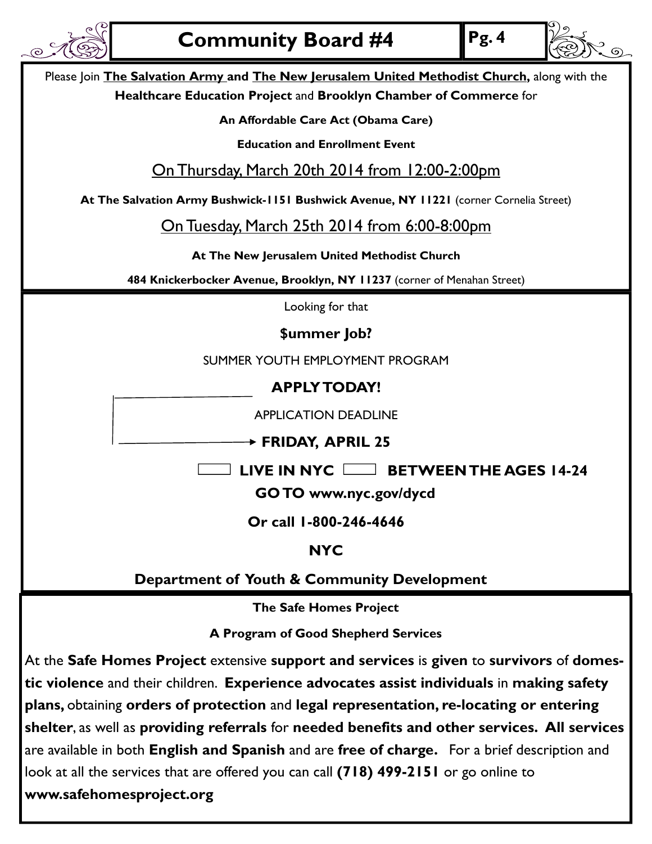

**Department of Youth & Community Development** 

**The Safe Homes Project** 

**A Program of Good Shepherd Services** 

At the **Safe Homes Project** extensive **support and services** is **given** to **survivors** of **domestic violence** and their children. **Experience advocates assist individuals** in **making safety plans,** obtaining **orders of protection** and **legal representation, re-locating or entering shelter**, as well as **providing referrals** for **needed benefits and other services. All services**  are available in both **English and Spanish** and are **free of charge.** For a brief description and look at all the services that are offered you can call **(718) 499-2151** or go online to **www.safehomesproject.org**